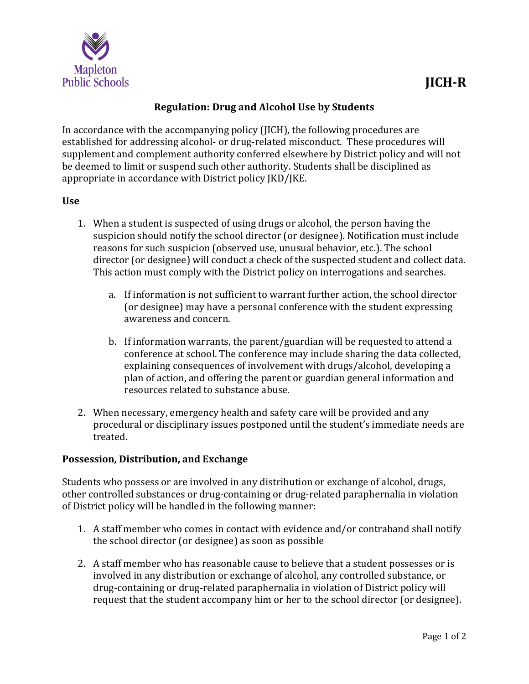

## **Regulation: Drug and Alcohol Use by Students**

In accordance with the accompanying policy (JICH), the following procedures are established for addressing alcohol- or drug-related misconduct. These procedures will supplement and complement authority conferred elsewhere by District policy and will not be deemed to limit or suspend such other authority. Students shall be disciplined as appropriate in accordance with District policy JKD/JKE.

## **Use**

- 1. When a student is suspected of using drugs or alcohol, the person having the suspicion should notify the school director (or designee). Notification must include reasons for such suspicion (observed use, unusual behavior, etc.). The school director (or designee) will conduct a check of the suspected student and collect data. This action must comply with the District policy on interrogations and searches.
	- a. If information is not sufficient to warrant further action, the school director (or designee) may have a personal conference with the student expressing awareness and concern.
	- b. If information warrants, the parent/guardian will be requested to attend a conference at school. The conference may include sharing the data collected, explaining consequences of involvement with drugs/alcohol, developing a plan of action, and offering the parent or guardian general information and resources related to substance abuse.
- 2. When necessary, emergency health and safety care will be provided and any procedural or disciplinary issues postponed until the student's immediate needs are treated.

## **Possession, Distribution, and Exchange**

Students who possess or are involved in any distribution or exchange of alcohol, drugs, other controlled substances or drug-containing or drug-related paraphernalia in violation of District policy will be handled in the following manner:

- 1. A staff member who comes in contact with evidence and/or contraband shall notify the school director (or designee) as soon as possible
- 2. A staff member who has reasonable cause to believe that a student possesses or is involved in any distribution or exchange of alcohol, any controlled substance, or drug-containing or drug-related paraphernalia in violation of District policy will request that the student accompany him or her to the school director (or designee).